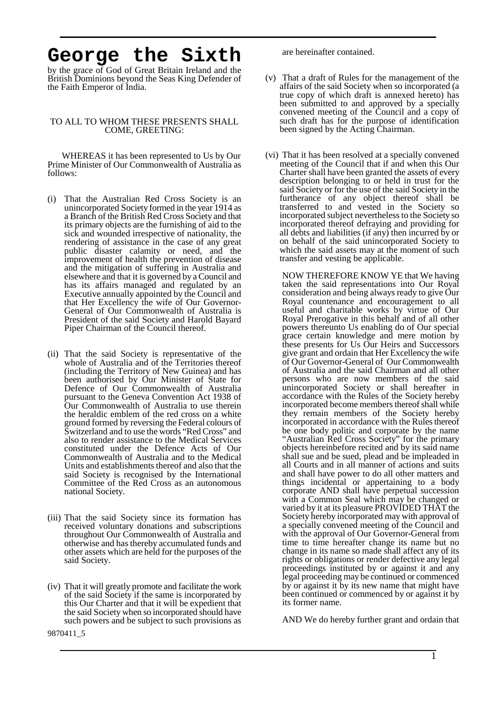## **George the Sixth**

by the grace of God of Great Britain Ireland and the British Dominions beyond the Seas King Defender of the Faith Emperor of India.

## TO ALL TO WHOM THESE PRESENTS SHALL COME, GREETING:

WHEREAS it has been represented to Us by Our Prime Minister of Our Commonwealth of Australia as follows:

- (i) That the Australian Red Cross Society is an unincorporated Society formed in the year 1914 as a Branch of the British Red Cross Society and that its primary objects are the furnishing of aid to the sick and wounded irrespective of nationality, the rendering of assistance in the case of any great public disaster calamity or need, and the improvement of health the prevention of disease and the mitigation of suffering in Australia and elsewhere and that it is governed by a Council and has its affairs managed and regulated by an Executive annually appointed by the Council and that Her Excellency the wife of Our Governor-General of Our Commonwealth of Australia is President of the said Society and Harold Bayard Piper Chairman of the Council thereof.
- (ii) That the said Society is representative of the whole of Australia and of the Territories thereof (including the Territory of New Guinea) and has been authorised by Our Minister of State for Defence of Our Commonwealth of Australia pursuant to the Geneva Convention Act 1938 of Our Commonwealth of Australia to use therein the heraldic emblem of the red cross on a white ground formed by reversing the Federal colours of Switzerland and to use the words "Red Cross" and also to render assistance to the Medical Services constituted under the Defence Acts of Our Commonwealth of Australia and to the Medical Units and establishments thereof and also that the said Society is recognised by the International Committee of the Red Cross as an autonomous national Society.
- (iii) That the said Society since its formation has received voluntary donations and subscriptions throughout Our Commonwealth of Australia and otherwise and has thereby accumulated funds and other assets which are held for the purposes of the said Society.
- (iv) That it will greatly promote and facilitate the work of the said Society if the same is incorporated by this Our Charter and that it will be expedient that the said Society when so incorporated should have such powers and be subject to such provisions as

are hereinafter contained.

- (v) That a draft of Rules for the management of the affairs of the said Society when so incorporated (a true copy of which draft is annexed hereto) has been submitted to and approved by a specially convened meeting of the Council and a copy of such draft has for the purpose of identification been signed by the Acting Chairman.
- (vi) That it has been resolved at a specially convened meeting of the Council that if and when this Our Charter shall have been granted the assets of every description belonging to or held in trust for the said Society or for the use of the said Society in the furtherance of any object thereof shall be transferred to and vested in the Society so incorporated subject nevertheless to the Society so incorporated thereof defraying and providing for all debts and liabilities (if any) then incurred by or on behalf of the said unincorporated Society to which the said assets may at the moment of such transfer and vesting be applicable.

NOW THEREFORE KNOW YE that We having taken the said representations into Our Royal consideration and being always ready to give Our Royal countenance and encouragement to all useful and charitable works by virtue of Our Royal Prerogative in this behalf and of all other powers thereunto Us enabling do of Our special grace certain knowledge and mere motion by these presents for Us Our Heirs and Successors give grant and ordain that Her Excellency the wife of Our Governor-General of Our Commonwealth of Australia and the said Chairman and all other persons who are now members of the said unincorporated Society or shall hereafter in accordance with the Rules of the Society hereby incorporated become members thereof shall while they remain members of the Society hereby incorporated in accordance with the Rules thereof be one body politic and corporate by the name "Australian Red Cross Society" for the primary objects hereinbefore recited and by its said name shall sue and be sued, plead and be impleaded in all Courts and in all manner of actions and suits and shall have power to do all other matters and things incidental or appertaining to a body corporate AND shall have perpetual succession with a Common Seal which may be changed or varied by it at its pleasure PROVIDED THAT the Society hereby incorporated may with approval of a specially convened meeting of the Council and with the approval of Our Governor-General from time to time hereafter change its name but no change in its name so made shall affect any of its rights or obligations or render defective any legal proceedings instituted by or against it and any legal proceeding may be continued or commenced by or against it by its new name that might have been continued or commenced by or against it by its former name.

AND We do hereby further grant and ordain that

9870411\_5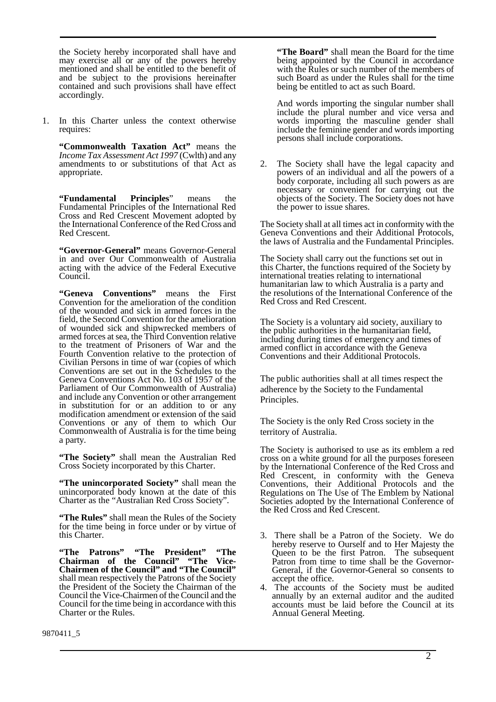the Society hereby incorporated shall have and may exercise all or any of the powers hereby mentioned and shall be entitled to the benefit of and be subject to the provisions hereinafter contained and such provisions shall have effect accordingly.

1. In this Charter unless the context otherwise requires:

**"Commonwealth Taxation Act"** means the *Income Tax Assessment Act 1997* (Cwlth) and any amendments to or substitutions of that Act as appropriate.

**"Fundamental Principles**" means the Fundamental Principles of the International Red Cross and Red Crescent Movement adopted by the International Conference of the Red Cross and Red Crescent.

**"Governor-General"** means Governor-General in and over Our Commonwealth of Australia acting with the advice of the Federal Executive Council.

**"Geneva Conventions"** means the First Convention for the amelioration of the condition of the wounded and sick in armed forces in the field, the Second Convention for the amelioration of wounded sick and shipwrecked members of armed forces at sea, the Third Convention relative to the treatment of Prisoners of War and the Fourth Convention relative to the protection of Civilian Persons in time of war (copies of which Conventions are set out in the Schedules to the Geneva Conventions Act No. 103 of 1957 of the Parliament of Our Commonwealth of Australia) and include any Convention or other arrangement in substitution for or an addition to or any modification amendment or extension of the said Conventions or any of them to which Our Commonwealth of Australia is for the time being a party.

**"The Society"** shall mean the Australian Red Cross Society incorporated by this Charter.

**"The unincorporated Society"** shall mean the unincorporated body known at the date of this Charter as the "Australian Red Cross Society".

**"The Rules"** shall mean the Rules of the Society for the time being in force under or by virtue of this Charter.

**"The Patrons" "The President" "The Chairman of the Council" "The Vice-Chairmen of the Council" and "The Council"** shall mean respectively the Patrons of the Society the President of the Society the Chairman of the Council the Vice-Chairmen of the Council and the Council for the time being in accordance with this Charter or the Rules.

**"The Board"** shall mean the Board for the time being appointed by the Council in accordance with the Rules or such number of the members of such Board as under the Rules shall for the time being be entitled to act as such Board.

And words importing the singular number shall include the plural number and vice versa and words importing the masculine gender shall include the feminine gender and words importing persons shall include corporations.

2. The Society shall have the legal capacity and powers of an individual and all the powers of a body corporate, including all such powers as are necessary or convenient for carrying out the objects of the Society. The Society does not have the power to issue shares.

The Society shall at all times act in conformity with the Geneva Conventions and their Additional Protocols, the laws of Australia and the Fundamental Principles.

The Society shall carry out the functions set out in this Charter, the functions required of the Society by international treaties relating to international humanitarian law to which Australia is a party and the resolutions of the International Conference of the Red Cross and Red Crescent.

The Society is a voluntary aid society, auxiliary to the public authorities in the humanitarian field, including during times of emergency and times of armed conflict in accordance with the Geneva Conventions and their Additional Protocols.

The public authorities shall at all times respect the adherence by the Society to the Fundamental Principles.

The Society is the only Red Cross society in the territory of Australia.

The Society is authorised to use as its emblem a red cross on a white ground for all the purposes foreseen by the International Conference of the Red Cross and Red Crescent, in conformity with the Geneva Conventions, their Additional Protocols and the Regulations on The Use of The Emblem by National Societies adopted by the International Conference of the Red Cross and Red Crescent.

- 3. There shall be a Patron of the Society. We do hereby reserve to Ourself and to Her Majesty the Queen to be the first Patron. The subsequent Patron from time to time shall be the Governor-General, if the Governor-General so consents to accept the office.
- 4. The accounts of the Society must be audited annually by an external auditor and the audited accounts must be laid before the Council at its Annual General Meeting.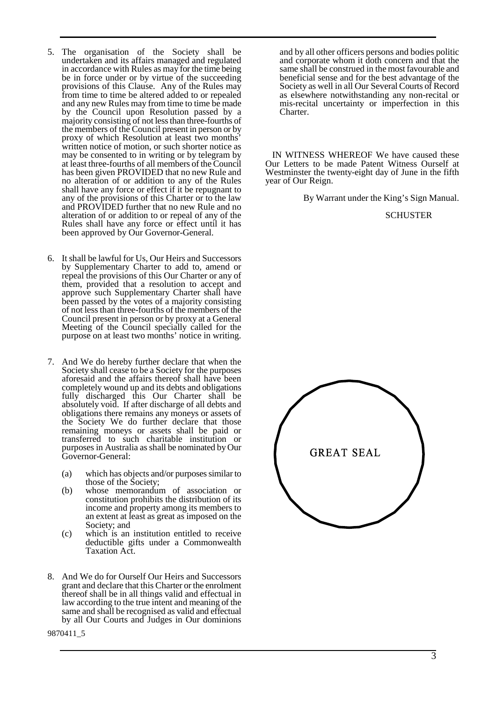- 5. The organisation of the Society shall be undertaken and its affairs managed and regulated in accordance with Rules as may for the time being be in force under or by virtue of the succeeding provisions of this Clause. Any of the Rules may from time to time be altered added to or repealed and any new Rules may from time to time be made by the Council upon Resolution passed by a majority consisting of not less than three-fourths of the members of the Council present in person or by proxy of which Resolution at least two months' written notice of motion, or such shorter notice as may be consented to in writing or by telegram by at least three-fourths of all members of the Council has been given PROVIDED that no new Rule and no alteration of or addition to any of the Rules shall have any force or effect if it be repugnant to any of the provisions of this Charter or to the law and PROVIDED further that no new Rule and no alteration of or addition to or repeal of any of the Rules shall have any force or effect until it has been approved by Our Governor-General.
- 6. It shall be lawful for Us, Our Heirs and Successors by Supplementary Charter to add to, amend or repeal the provisions of this Our Charter or any of them, provided that a resolution to accept and approve such Supplementary Charter shall have been passed by the votes of a majority consisting of not less than three-fourths of the members of the Council present in person or by proxy at a General Meeting of the Council specially called for the purpose on at least two months' notice in writing.
- 7. And We do hereby further declare that when the Society shall cease to be a Society for the purposes aforesaid and the affairs thereof shall have been completely wound up and its debts and obligations fully discharged this Our Charter shall be absolutely void. If after discharge of all debts and obligations there remains any moneys or assets of the Society We do further declare that those remaining moneys or assets shall be paid or transferred to such charitable institution or purposes in Australia as shall be nominated by Our Governor-General:
	- (a) which has objects and/or purposes similar to those of the Society;
	- (b) whose memorandum of association or constitution prohibits the distribution of its income and property among its members to an extent at least as great as imposed on the Society; and
	- (c) which is an institution entitled to receive deductible gifts under a Commonwealth Taxation Act.
- 8. And We do for Ourself Our Heirs and Successors grant and declare that this Charter or the enrolment thereof shall be in all things valid and effectual in law according to the true intent and meaning of the same and shall be recognised as valid and effectual by all Our Courts and Judges in Our dominions

and by all other officers persons and bodies politic and corporate whom it doth concern and that the same shall be construed in the most favourable and beneficial sense and for the best advantage of the Society as well in all Our Several Courts of Record as elsewhere notwithstanding any non-recital or mis-recital uncertainty or imperfection in this Charter.

 IN WITNESS WHEREOF We have caused these Our Letters to be made Patent Witness Ourself at Westminster the twenty-eight day of June in the fifth year of Our Reign.

By Warrant under the King's Sign Manual.

## **SCHUSTER**



9870411\_5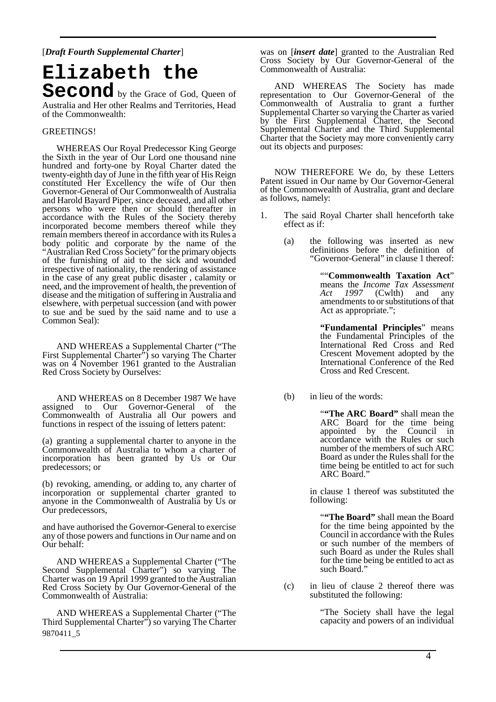[*Draft Fourth Supplemental Charter*]

**Elizabeth the Second** by the Grace of God, Queen of Australia and Her other Realms and Territories, Head of the Commonwealth:

## GREETINGS!

 WHEREAS Our Royal Predecessor King George the Sixth in the year of Our Lord one thousand nine hundred and forty-one by Royal Charter dated the twenty-eighth day of June in the fifth year of His Reign constituted Her Excellency the wife of Our then Governor-General of Our Commonwealth of Australia and Harold Bayard Piper, since deceased, and all other persons who were then or should thereafter in accordance with the Rules of the Society thereby incorporated become members thereof while they remain members thereof in accordance with its Rules a body politic and corporate by the name of the "Australian Red Cross Society" for the primary objects of the furnishing of aid to the sick and wounded irrespective of nationality, the rendering of assistance in the case of any great public disaster , calamity or need, and the improvement of health, the prevention of disease and the mitigation of suffering in Australia and elsewhere, with perpetual succession (and with power to sue and be sued by the said name and to use a Common Seal):

 AND WHEREAS a Supplemental Charter ("The First Supplemental Charter") so varying The Charter was on 4 November 1961 granted to the Australian Red Cross Society by Ourselves:

 AND WHEREAS on 8 December 1987 We have assigned to Our Governor-General of the Commonwealth of Australia all Our powers and functions in respect of the issuing of letters patent:

(a) granting a supplemental charter to anyone in the Commonwealth of Australia to whom a charter of incorporation has been granted by Us or Our predecessors; or

(b) revoking, amending, or adding to, any charter of incorporation or supplemental charter granted to anyone in the Commonwealth of Australia by Us or Our predecessors,

and have authorised the Governor-General to exercise any of those powers and functions in Our name and on Our behalf:

 AND WHEREAS a Supplemental Charter ("The Second Supplemental Charter") so varying The Charter was on 19 April 1999 granted to the Australian Red Cross Society by Our Governor-General of the Commonwealth of Australia:

9870411\_5 AND WHEREAS a Supplemental Charter ("The Third Supplemental Charter<sup>"</sup>) so varying The Charter

was on [*insert date*] granted to the Australian Red Cross Society by Our Governor-General of the Commonwealth of Australia:

 AND WHEREAS The Society has made representation to Our Governor-General of the Commonwealth of Australia to grant a further Supplemental Charter so varying the Charter as varied by the First Supplemental Charter, the Second Supplemental Charter and the Third Supplemental Charter that the Society may more conveniently carry out its objects and purposes:

 NOW THEREFORE We do, by these Letters Patent issued in Our name by Our Governor-General of the Commonwealth of Australia, grant and declare as follows, namely:

- 1. The said Royal Charter shall henceforth take effect as if:
	- (a) the following was inserted as new definitions before the definition of "Governor-General" in clause 1 thereof:

 ""**Commonwealth Taxation Act**" means the *Income Tax Assessment Act 1997* (Cwlth) and any amendments to or substitutions of that Act as appropriate.";

> **"Fundamental Principles**" means the Fundamental Principles of the International Red Cross and Red Crescent Movement adopted by the International Conference of the Red Cross and Red Crescent.

(b) in lieu of the words:

 "**"The ARC Board"** shall mean the ARC Board for the time being appointed by the Council in accordance with the Rules or such number of the members of such ARC Board as under the Rules shall for the time being be entitled to act for such ARC Board.

 in clause 1 thereof was substituted the following:

 "**"The Board"** shall mean the Board for the time being appointed by the Council in accordance with the Rules or such number of the members of such Board as under the Rules shall for the time being be entitled to act as such Board."

 (c) in lieu of clause 2 thereof there was substituted the following:

> "The Society shall have the legal capacity and powers of an individual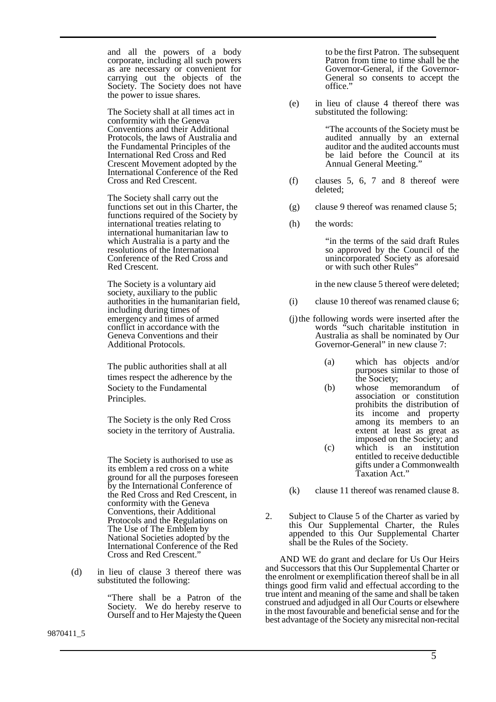and all the powers of a body corporate, including all such powers as are necessary or convenient for carrying out the objects of the Society. The Society does not have the power to issue shares.

The Society shall at all times act in conformity with the Geneva Conventions and their Additional Protocols, the laws of Australia and the Fundamental Principles of the International Red Cross and Red Crescent Movement adopted by the International Conference of the Red Cross and Red Crescent.

The Society shall carry out the functions set out in this Charter, the functions required of the Society by international treaties relating to international humanitarian law to which Australia is a party and the resolutions of the International Conference of the Red Cross and Red Crescent.

The Society is a voluntary aid society, auxiliary to the public authorities in the humanitarian field, including during times of emergency and times of armed conflict in accordance with the Geneva Conventions and their Additional Protocols.

The public authorities shall at all times respect the adherence by the Society to the Fundamental Principles.

The Society is the only Red Cross society in the territory of Australia.

The Society is authorised to use as its emblem a red cross on a white ground for all the purposes foreseen by the International Conference of the Red Cross and Red Crescent, in conformity with the Geneva Conventions, their Additional Protocols and the Regulations on The Use of The Emblem by National Societies adopted by the International Conference of the Red Cross and Red Crescent."

 (d) in lieu of clause 3 thereof there was substituted the following:

> "There shall be a Patron of the Society. We do hereby reserve to Ourself and to Her Majesty the Queen

to be the first Patron. The subsequent Patron from time to time shall be the Governor-General, if the Governor-General so consents to accept the office."

 (e) in lieu of clause 4 thereof there was substituted the following:

> "The accounts of the Society must be audited annually by an external auditor and the audited accounts must be laid before the Council at its Annual General Meeting.'

- (f) clauses 5, 6, 7 and 8 thereof were deleted;
- (g) clause 9 thereof was renamed clause 5;
- (h) the words:

 "in the terms of the said draft Rules so approved by the Council of the unincorporated Society as aforesaid or with such other Rules"

in the new clause 5 thereof were deleted;

- (i) clause 10 thereof was renamed clause 6;
- (j) the following words were inserted after the words "such charitable institution in Australia as shall be nominated by Our Governor-General" in new clause 7:
	- (a) which has objects and/or purposes similar to those of the Society;
	- (b) whose memorandum of association or constitution prohibits the distribution of its income and property among its members to an extent at least as great as imposed on the Society; and (c) which is an institution entitled to receive deductible gifts under a Commonwealth Taxation Act."
- (k) clause 11 thereof was renamed clause 8.
- 2. Subject to Clause 5 of the Charter as varied by this Our Supplemental Charter, the Rules appended to this Our Supplemental Charter shall be the Rules of the Society.

 AND WE do grant and declare for Us Our Heirs and Successors that this Our Supplemental Charter or the enrolment or exemplification thereof shall be in all things good firm valid and effectual according to the true intent and meaning of the same and shall be taken construed and adjudged in all Our Courts or elsewhere in the most favourable and beneficial sense and for the best advantage of the Society any misrecital non-recital